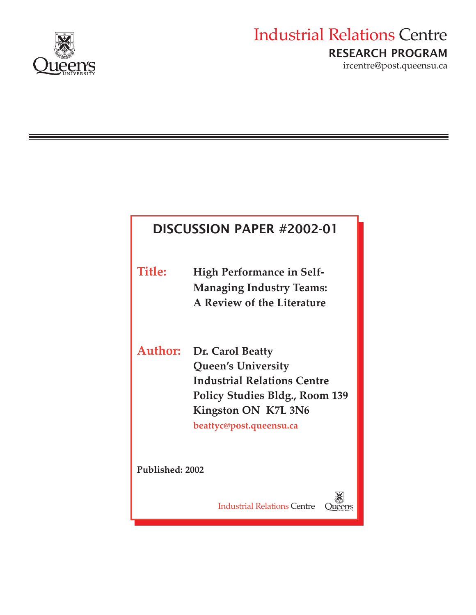

# Industrial Relations Centre RESEARCH PROGRAM

ircentre@post.queensu.ca

## DISCUSSION PAPER #2002-01

**Title: High Performance in Self-Managing Industry Teams: A Review of the Literature** 

**Author: Dr. Carol Beatty Queen's University Industrial Relations Centre Policy Studies Bldg., Room 139 Kingston ON K7L 3N6 beattyc@post.queensu.ca** 

**Published: 2002** 

Industrial Relations Centre

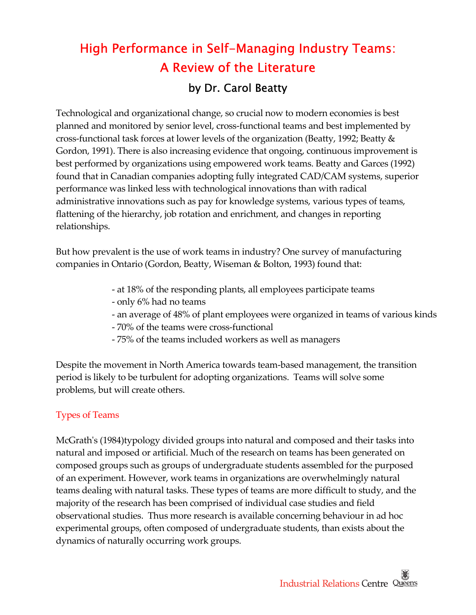## High Performance in Self-Managing Industry Teams: A Review of the Literature by Dr. Carol Beatty

 Technological and organizational change, so crucial now to modern economies is best planned and monitored by senior level, cross‐functional teams and best implemented by cross‐functional task forces at lower levels of the organization (Beatty, 1992; Beatty & Gordon, 1991). There is also increasing evidence that ongoing, continuous improvement is best performed by organizations using empowered work teams. Beatty and Garces (1992) found that in Canadian companies adopting fully integrated CAD/CAM systems, superior performance was linked less with technological innovations than with radical administrative innovations such as pay for knowledge systems, various types of teams, flattening of the hierarchy, job rotation and enrichment, and changes in reporting relationships.

 But how prevalent is the use of work teams in industry? One survey of manufacturing companies in Ontario (Gordon, Beatty, Wiseman & Bolton, 1993) found that:

- ‐ at 18% of the responding plants, all employees participate teams
- ‐ only 6% had no teams
- ‐ an average of 48% of plant employees were organized in teams of various kinds
- ‐ 70% of the teams were cross‐functional
- ‐ 75% of the teams included workers as well as managers

 Despite the movement in North America towards team‐based management, the transition period is likely to be turbulent for adopting organizations. Teams will solve some problems, but will create others.

#### Types of Teams

 McGrathʹs (1984)typology divided groups into natural and composed and their tasks into natural and imposed or artificial. Much of the research on teams has been generated on composed groups such as groups of undergraduate students assembled for the purposed of an experiment. However, work teams in organizations are overwhelmingly natural teams dealing with natural tasks. These types of teams are more difficult to study, and the majority of the research has been comprised of individual case studies and field observational studies. Thus more research is available concerning behaviour in ad hoc experimental groups, often composed of undergraduate students, than exists about the dynamics of naturally occurring work groups.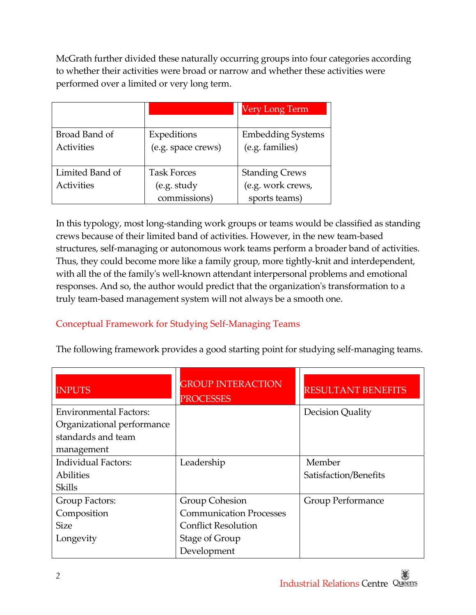McGrath further divided these naturally occurring groups into four categories according to whether their activities were broad or narrow and whether these activities were performed over a limited or very long term.

|                                      |                                                   | Very Long Term                                              |
|--------------------------------------|---------------------------------------------------|-------------------------------------------------------------|
| Broad Band of<br><b>Activities</b>   | Expeditions<br>(e.g. space crews)                 | <b>Embedding Systems</b><br>(e.g. families)                 |
| Limited Band of<br><b>Activities</b> | <b>Task Forces</b><br>(e.g. study<br>commissions) | <b>Standing Crews</b><br>(e.g. work crews,<br>sports teams) |

 In this typology, most long‐standing work groups or teams would be classified as standing crews because of their limited band of activities. However, in the new team‐based structures, self‐managing or autonomous work teams perform a broader band of activities. Thus, they could become more like a family group, more tightly‐knit and interdependent, with all the of the familyʹs well‐known attendant interpersonal problems and emotional responses. And so, the author would predict that the organizationʹs transformation to a truly team‐based management system will not always be a smooth one.

### Conceptual Framework for Studying Self‐Managing Teams

The following framework provides a good starting point for studying self‐managing teams.

| <b>INPUTS</b>                 | <b>GROUP INTERACTION</b><br><b>PROCESSES</b> | <b>RESULTANT BENEFITS</b> |
|-------------------------------|----------------------------------------------|---------------------------|
| <b>Environmental Factors:</b> |                                              | Decision Quality          |
| Organizational performance    |                                              |                           |
| standards and team            |                                              |                           |
| management                    |                                              |                           |
| <b>Individual Factors:</b>    | Leadership                                   | Member                    |
| <b>Abilities</b>              |                                              | Satisfaction/Benefits     |
| <b>Skills</b>                 |                                              |                           |
| Group Factors:                | <b>Group Cohesion</b>                        | Group Performance         |
| Composition                   | <b>Communication Processes</b>               |                           |
| <b>Size</b>                   | <b>Conflict Resolution</b>                   |                           |
| Longevity                     | <b>Stage of Group</b>                        |                           |
|                               | Development                                  |                           |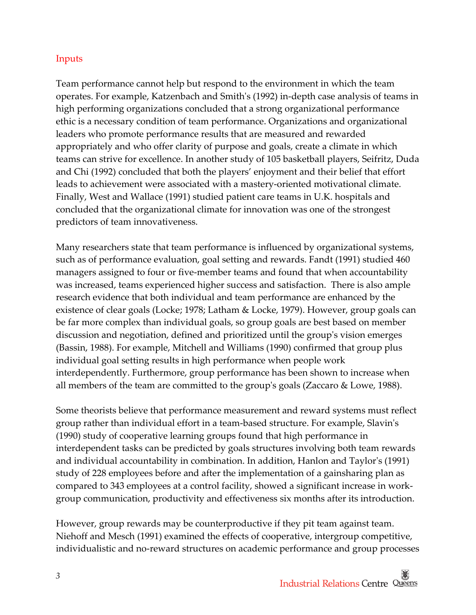#### Inputs

 Team performance cannot help but respond to the environment in which the team operates. For example, Katzenbach and Smithʹs (1992) in‐depth case analysis of teams in high performing organizations concluded that a strong organizational performance ethic is a necessary condition of team performance. Organizations and organizational leaders who promote performance results that are measured and rewarded appropriately and who offer clarity of purpose and goals, create a climate in which teams can strive for excellence. In another study of 105 basketball players, Seifritz, Duda and Chi (1992) concluded that both the players' enjoyment and their belief that effort leads to achievement were associated with a mastery‐oriented motivational climate. Finally, West and Wallace (1991) studied patient care teams in U.K. hospitals and concluded that the organizational climate for innovation was one of the strongest predictors of team innovativeness.

 Many researchers state that team performance is influenced by organizational systems, such as of performance evaluation, goal setting and rewards. Fandt (1991) studied 460 managers assigned to four or five‐member teams and found that when accountability was increased, teams experienced higher success and satisfaction. There is also ample research evidence that both individual and team performance are enhanced by the existence of clear goals (Locke; 1978; Latham & Locke, 1979). However, group goals can be far more complex than individual goals, so group goals are best based on member discussion and negotiation, defined and prioritized until the groupʹs vision emerges (Bassin, 1988). For example, Mitchell and Williams (1990) confirmed that group plus individual goal setting results in high performance when people work interdependently. Furthermore, group performance has been shown to increase when all members of the team are committed to the groupʹs goals (Zaccaro & Lowe, 1988).

 Some theorists believe that performance measurement and reward systems must reflect group rather than individual effort in a team‐based structure. For example, Slavinʹs (1990) study of cooperative learning groups found that high performance in interdependent tasks can be predicted by goals structures involving both team rewards and individual accountability in combination. In addition, Hanlon and Taylorʹs (1991) study of 228 employees before and after the implementation of a gainsharing plan as compared to 343 employees at a control facility, showed a significant increase in work‐ group communication, productivity and effectiveness six months after its introduction.

 However, group rewards may be counterproductive if they pit team against team. Niehoff and Mesch (1991) examined the effects of cooperative, intergroup competitive, individualistic and no‐reward structures on academic performance and group processes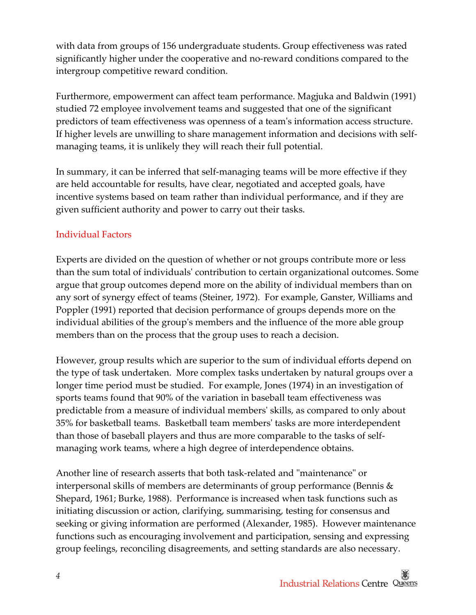with data from groups of 156 undergraduate students. Group effectiveness was rated significantly higher under the cooperative and no‐reward conditions compared to the intergroup competitive reward condition.

 Furthermore, empowerment can affect team performance. Magjuka and Baldwin (1991) studied 72 employee involvement teams and suggested that one of the significant predictors of team effectiveness was openness of a teamʹs information access structure. If higher levels are unwilling to share management information and decisions with self‐ managing teams, it is unlikely they will reach their full potential.

 In summary, it can be inferred that self‐managing teams will be more effective if they are held accountable for results, have clear, negotiated and accepted goals, have incentive systems based on team rather than individual performance, and if they are given sufficient authority and power to carry out their tasks.

#### Individual Factors

 Experts are divided on the question of whether or not groups contribute more or less than the sum total of individualsʹ contribution to certain organizational outcomes. Some argue that group outcomes depend more on the ability of individual members than on any sort of synergy effect of teams (Steiner, 1972). For example, Ganster, Williams and Poppler (1991) reported that decision performance of groups depends more on the individual abilities of the groupʹs members and the influence of the more able group members than on the process that the group uses to reach a decision.

 However, group results which are superior to the sum of individual efforts depend on the type of task undertaken. More complex tasks undertaken by natural groups over a longer time period must be studied. For example, Jones (1974) in an investigation of sports teams found that 90% of the variation in baseball team effectiveness was predictable from a measure of individual membersʹ skills, as compared to only about 35% for basketball teams. Basketball team membersʹ tasks are more interdependent than those of baseball players and thus are more comparable to the tasks of self‐ managing work teams, where a high degree of interdependence obtains.

Another line of research asserts that both task-related and "maintenance" or interpersonal skills of members are determinants of group performance (Bennis & Shepard, 1961; Burke, 1988). Performance is increased when task functions such as initiating discussion or action, clarifying, summarising, testing for consensus and seeking or giving information are performed (Alexander, 1985). However maintenance functions such as encouraging involvement and participation, sensing and expressing group feelings, reconciling disagreements, and setting standards are also necessary.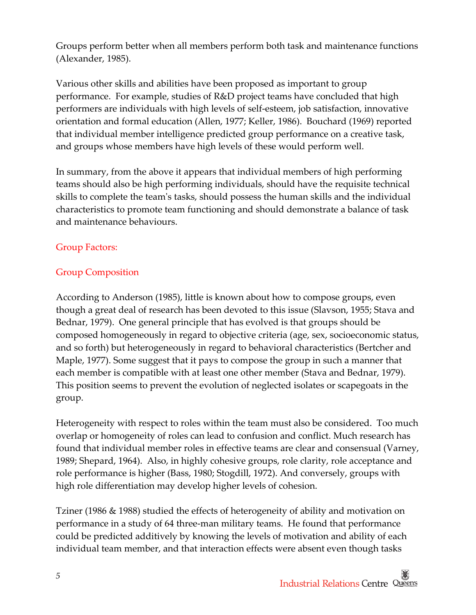Groups perform better when all members perform both task and maintenance functions (Alexander, 1985).

 Various other skills and abilities have been proposed as important to group performance. For example, studies of R&D project teams have concluded that high performers are individuals with high levels of self‐esteem, job satisfaction, innovative orientation and formal education (Allen, 1977; Keller, 1986). Bouchard (1969) reported that individual member intelligence predicted group performance on a creative task, and groups whose members have high levels of these would perform well.

 In summary, from the above it appears that individual members of high performing teams should also be high performing individuals, should have the requisite technical skills to complete the teamʹs tasks, should possess the human skills and the individual characteristics to promote team functioning and should demonstrate a balance of task and maintenance behaviours.

#### Group Factors:

#### Group Composition

 According to Anderson (1985), little is known about how to compose groups, even though a great deal of research has been devoted to this issue (Slavson, 1955; Stava and Bednar, 1979). One general principle that has evolved is that groups should be composed homogeneously in regard to objective criteria (age, sex, socioeconomic status, and so forth) but heterogeneously in regard to behavioral characteristics (Bertcher and Maple, 1977). Some suggest that it pays to compose the group in such a manner that each member is compatible with at least one other member (Stava and Bednar, 1979). This position seems to prevent the evolution of neglected isolates or scapegoats in the group.

 Heterogeneity with respect to roles within the team must also be considered. Too much overlap or homogeneity of roles can lead to confusion and conflict. Much research has found that individual member roles in effective teams are clear and consensual (Varney, 1989; Shepard, 1964). Also, in highly cohesive groups, role clarity, role acceptance and role performance is higher (Bass, 1980; Stogdill, 1972). And conversely, groups with high role differentiation may develop higher levels of cohesion.

 Tziner (1986 & 1988) studied the effects of heterogeneity of ability and motivation on performance in a study of 64 three‐man military teams. He found that performance could be predicted additively by knowing the levels of motivation and ability of each individual team member, and that interaction effects were absent even though tasks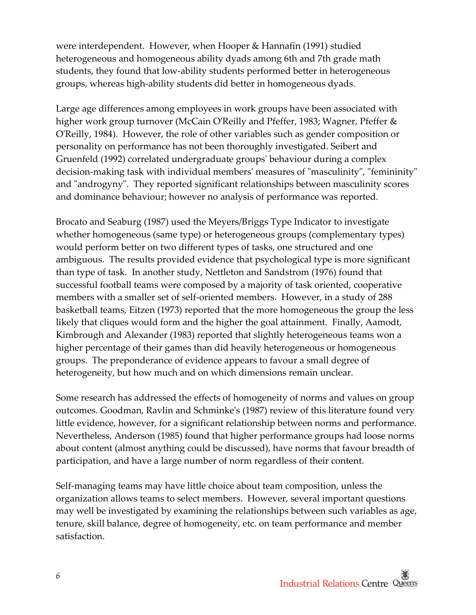were interdependent. However, when Hooper & Hannafin (1991) studied heterogeneous and homogeneous ability dyads among 6th and 7th grade math students, they found that low‐ability students performed better in heterogeneous groups, whereas high‐ability students did better in homogeneous dyads.

 Large age differences among employees in work groups have been associated with higher work group turnover (McCain OʹReilly and Pfeffer, 1983; Wagner, Pfeffer & OʹReilly, 1984). However, the role of other variables such as gender composition or personality on performance has not been thoroughly investigated. Seibert and Gruenfeld (1992) correlated undergraduate groupsʹ behaviour during a complex decision-making task with individual members' measures of "masculinity", "femininity" and "androgyny". They reported significant relationships between masculinity scores and dominance behaviour; however no analysis of performance was reported.

 Brocato and Seaburg (1987) used the Meyers/Briggs Type Indicator to investigate whether homogeneous (same type) or heterogeneous groups (complementary types) would perform better on two different types of tasks, one structured and one ambiguous. The results provided evidence that psychological type is more significant than type of task. In another study, Nettleton and Sandstrom (1976) found that successful football teams were composed by a majority of task oriented, cooperative members with a smaller set of self‐oriented members. However, in a study of 288 basketball teams, Eitzen (1973) reported that the more homogeneous the group the less likely that cliques would form and the higher the goal attainment. Finally, Aamodt, Kimbrough and Alexander (1983) reported that slightly heterogeneous teams won a higher percentage of their games than did heavily heterogeneous or homogeneous groups. The preponderance of evidence appears to favour a small degree of heterogeneity, but how much and on which dimensions remain unclear.

 Some research has addressed the effects of homogeneity of norms and values on group outcomes. Goodman, Ravlin and Schminkeʹs (1987) review of this literature found very little evidence, however, for a significant relationship between norms and performance. Nevertheless, Anderson (1985) found that higher performance groups had loose norms about content (almost anything could be discussed), have norms that favour breadth of participation, and have a large number of norm regardless of their content.

 Self‐managing teams may have little choice about team composition, unless the organization allows teams to select members. However, several important questions may well be investigated by examining the relationships between such variables as age, tenure, skill balance, degree of homogeneity, etc. on team performance and member satisfaction.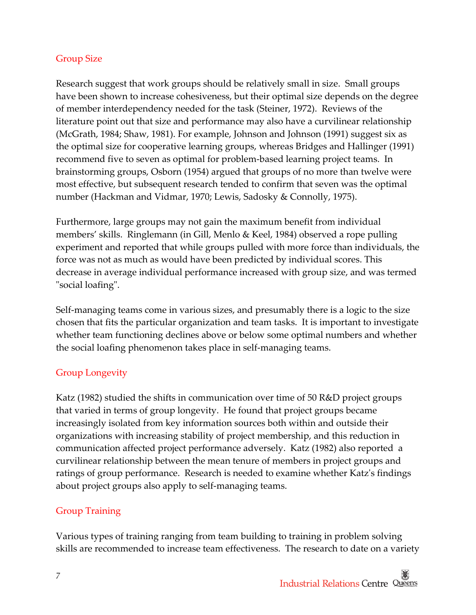#### Group Size

 Research suggest that work groups should be relatively small in size. Small groups have been shown to increase cohesiveness, but their optimal size depends on the degree of member interdependency needed for the task (Steiner, 1972). Reviews of the literature point out that size and performance may also have a curvilinear relationship (McGrath, 1984; Shaw, 1981). For example, Johnson and Johnson (1991) suggest six as the optimal size for cooperative learning groups, whereas Bridges and Hallinger (1991) recommend five to seven as optimal for problem‐based learning project teams. In brainstorming groups, Osborn (1954) argued that groups of no more than twelve were most effective, but subsequent research tended to confirm that seven was the optimal number (Hackman and Vidmar, 1970; Lewis, Sadosky & Connolly, 1975).

 Furthermore, large groups may not gain the maximum benefit from individual members' skills. Ringlemann (in Gill, Menlo & Keel, 1984) observed a rope pulling experiment and reported that while groups pulled with more force than individuals, the force was not as much as would have been predicted by individual scores. This decrease in average individual performance increased with group size, and was termed ʺsocial loafingʺ.

 Self‐managing teams come in various sizes, and presumably there is a logic to the size chosen that fits the particular organization and team tasks. It is important to investigate whether team functioning declines above or below some optimal numbers and whether the social loafing phenomenon takes place in self‐managing teams.

#### Group Longevity

 Katz (1982) studied the shifts in communication over time of 50 R&D project groups that varied in terms of group longevity. He found that project groups became increasingly isolated from key information sources both within and outside their organizations with increasing stability of project membership, and this reduction in communication affected project performance adversely. Katz (1982) also reported a curvilinear relationship between the mean tenure of members in project groups and ratings of group performance. Research is needed to examine whether Katzʹs findings about project groups also apply to self‐managing teams.

### Group Training

 Various types of training ranging from team building to training in problem solving skills are recommended to increase team effectiveness. The research to date on a variety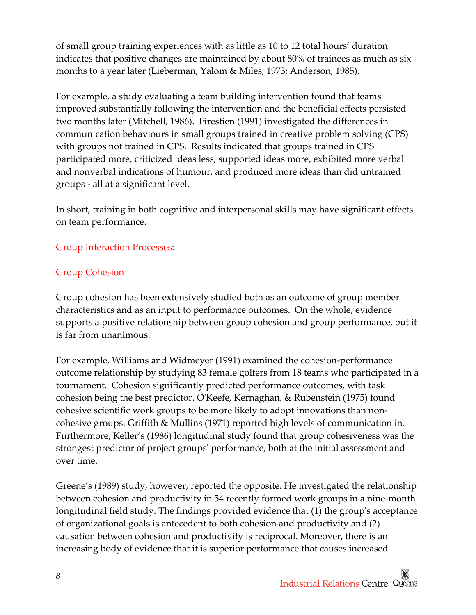of small group training experiences with as little as 10 to 12 total hours' duration indicates that positive changes are maintained by about 80% of trainees as much as six months to a year later (Lieberman, Yalom & Miles, 1973; Anderson, 1985).

 For example, a study evaluating a team building intervention found that teams improved substantially following the intervention and the beneficial effects persisted two months later (Mitchell, 1986). Firestien (1991) investigated the differences in communication behaviours in small groups trained in creative problem solving (CPS) with groups not trained in CPS. Results indicated that groups trained in CPS participated more, criticized ideas less, supported ideas more, exhibited more verbal and nonverbal indications of humour, and produced more ideas than did untrained groups ‐ all at a significant level.

 In short, training in both cognitive and interpersonal skills may have significant effects on team performance.

#### Group Interaction Processes:

#### Group Cohesion

 Group cohesion has been extensively studied both as an outcome of group member characteristics and as an input to performance outcomes. On the whole, evidence supports a positive relationship between group cohesion and group performance, but it is far from unanimous.

 For example, Williams and Widmeyer (1991) examined the cohesion‐performance outcome relationship by studying 83 female golfers from 18 teams who participated in a tournament. Cohesion significantly predicted performance outcomes, with task cohesion being the best predictor. OʹKeefe, Kernaghan, & Rubenstein (1975) found cohesive scientific work groups to be more likely to adopt innovations than non‐ cohesive groups. Griffith & Mullins (1971) reported high levels of communication in. Furthermore, Keller's (1986) longitudinal study found that group cohesiveness was the strongest predictor of project groupsʹ performance, both at the initial assessment and over time.

 Greene's (1989) study, however, reported the opposite. He investigated the relationship between cohesion and productivity in 54 recently formed work groups in a nine‐month longitudinal field study. The findings provided evidence that (1) the groupʹs acceptance of organizational goals is antecedent to both cohesion and productivity and (2) causation between cohesion and productivity is reciprocal. Moreover, there is an increasing body of evidence that it is superior performance that causes increased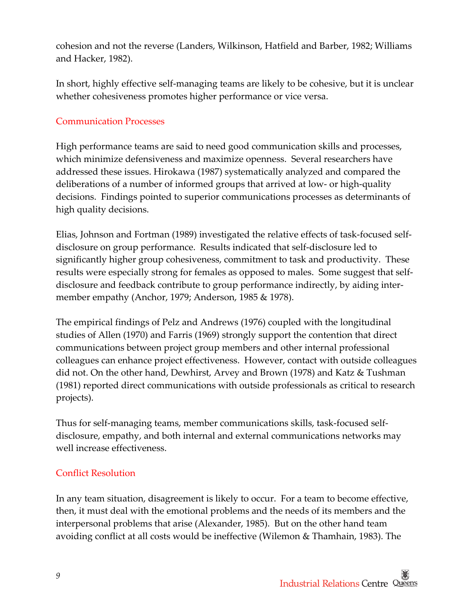cohesion and not the reverse (Landers, Wilkinson, Hatfield and Barber, 1982; Williams and Hacker, 1982).

 In short, highly effective self‐managing teams are likely to be cohesive, but it is unclear whether cohesiveness promotes higher performance or vice versa.

#### Communication Processes

 High performance teams are said to need good communication skills and processes, which minimize defensiveness and maximize openness. Several researchers have addressed these issues. Hirokawa (1987) systematically analyzed and compared the deliberations of a number of informed groups that arrived at low‐ or high‐quality decisions. Findings pointed to superior communications processes as determinants of high quality decisions.

 Elias, Johnson and Fortman (1989) investigated the relative effects of task‐focused self‐ disclosure on group performance. Results indicated that self‐disclosure led to significantly higher group cohesiveness, commitment to task and productivity. These results were especially strong for females as opposed to males. Some suggest that self‐ disclosure and feedback contribute to group performance indirectly, by aiding inter‐ member empathy (Anchor, 1979; Anderson, 1985 & 1978).

 The empirical findings of Pelz and Andrews (1976) coupled with the longitudinal studies of Allen (1970) and Farris (1969) strongly support the contention that direct communications between project group members and other internal professional colleagues can enhance project effectiveness. However, contact with outside colleagues did not. On the other hand, Dewhirst, Arvey and Brown (1978) and Katz & Tushman (1981) reported direct communications with outside professionals as critical to research projects).

 Thus for self‐managing teams, member communications skills, task‐focused self‐ disclosure, empathy, and both internal and external communications networks may well increase effectiveness.

#### Conflict Resolution

 In any team situation, disagreement is likely to occur. For a team to become effective, then, it must deal with the emotional problems and the needs of its members and the interpersonal problems that arise (Alexander, 1985). But on the other hand team avoiding conflict at all costs would be ineffective (Wilemon & Thamhain, 1983). The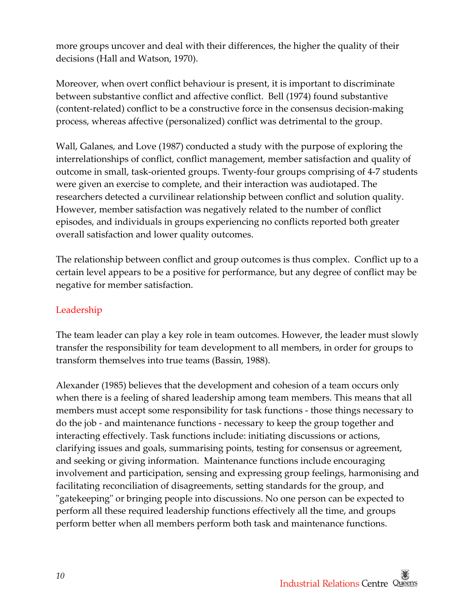more groups uncover and deal with their differences, the higher the quality of their decisions (Hall and Watson, 1970).

 Moreover, when overt conflict behaviour is present, it is important to discriminate between substantive conflict and affective conflict. Bell (1974) found substantive (content‐related) conflict to be a constructive force in the consensus decision‐making process, whereas affective (personalized) conflict was detrimental to the group.

 Wall, Galanes, and Love (1987) conducted a study with the purpose of exploring the interrelationships of conflict, conflict management, member satisfaction and quality of outcome in small, task‐oriented groups. Twenty‐four groups comprising of 4‐7 students were given an exercise to complete, and their interaction was audiotaped. The researchers detected a curvilinear relationship between conflict and solution quality. However, member satisfaction was negatively related to the number of conflict episodes, and individuals in groups experiencing no conflicts reported both greater overall satisfaction and lower quality outcomes.

 The relationship between conflict and group outcomes is thus complex. Conflict up to a certain level appears to be a positive for performance, but any degree of conflict may be negative for member satisfaction.

#### Leadership

 The team leader can play a key role in team outcomes. However, the leader must slowly transfer the responsibility for team development to all members, in order for groups to transform themselves into true teams (Bassin, 1988).

 Alexander (1985) believes that the development and cohesion of a team occurs only when there is a feeling of shared leadership among team members. This means that all members must accept some responsibility for task functions ‐ those things necessary to do the job ‐ and maintenance functions ‐ necessary to keep the group together and interacting effectively. Task functions include: initiating discussions or actions, clarifying issues and goals, summarising points, testing for consensus or agreement, and seeking or giving information. Maintenance functions include encouraging involvement and participation, sensing and expressing group feelings, harmonising and facilitating reconciliation of disagreements, setting standards for the group, and ʺgatekeepingʺ or bringing people into discussions. No one person can be expected to perform all these required leadership functions effectively all the time, and groups perform better when all members perform both task and maintenance functions.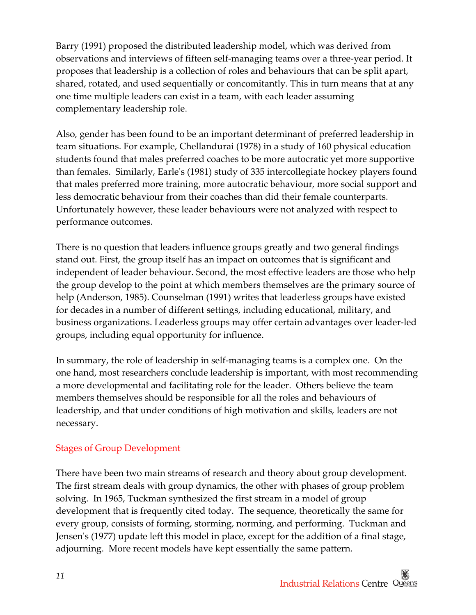Barry (1991) proposed the distributed leadership model, which was derived from observations and interviews of fifteen self‐managing teams over a three‐year period. It proposes that leadership is a collection of roles and behaviours that can be split apart, shared, rotated, and used sequentially or concomitantly. This in turn means that at any one time multiple leaders can exist in a team, with each leader assuming complementary leadership role.

 Also, gender has been found to be an important determinant of preferred leadership in team situations. For example, Chellandurai (1978) in a study of 160 physical education students found that males preferred coaches to be more autocratic yet more supportive than females. Similarly, Earleʹs (1981) study of 335 intercollegiate hockey players found that males preferred more training, more autocratic behaviour, more social support and less democratic behaviour from their coaches than did their female counterparts. Unfortunately however, these leader behaviours were not analyzed with respect to performance outcomes.

 There is no question that leaders influence groups greatly and two general findings stand out. First, the group itself has an impact on outcomes that is significant and independent of leader behaviour. Second, the most effective leaders are those who help the group develop to the point at which members themselves are the primary source of help (Anderson, 1985). Counselman (1991) writes that leaderless groups have existed for decades in a number of different settings, including educational, military, and business organizations. Leaderless groups may offer certain advantages over leader‐led groups, including equal opportunity for influence.

 In summary, the role of leadership in self‐managing teams is a complex one. On the one hand, most researchers conclude leadership is important, with most recommending a more developmental and facilitating role for the leader. Others believe the team members themselves should be responsible for all the roles and behaviours of leadership, and that under conditions of high motivation and skills, leaders are not necessary.

#### Stages of Group Development

 There have been two main streams of research and theory about group development. The first stream deals with group dynamics, the other with phases of group problem solving. In 1965, Tuckman synthesized the first stream in a model of group development that is frequently cited today. The sequence, theoretically the same for every group, consists of forming, storming, norming, and performing. Tuckman and Jensenʹs (1977) update left this model in place, except for the addition of a final stage, adjourning. More recent models have kept essentially the same pattern.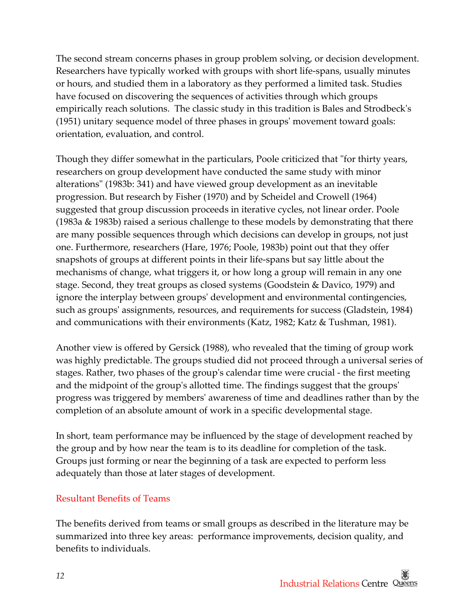The second stream concerns phases in group problem solving, or decision development. Researchers have typically worked with groups with short life‐spans, usually minutes or hours, and studied them in a laboratory as they performed a limited task. Studies have focused on discovering the sequences of activities through which groups empirically reach solutions. The classic study in this tradition is Bales and Strodbeckʹs (1951) unitary sequence model of three phases in groupsʹ movement toward goals: orientation, evaluation, and control.

Though they differ somewhat in the particulars, Poole criticized that "for thirty years, researchers on group development have conducted the same study with minor alterationsʺ (1983b: 341) and have viewed group development as an inevitable progression. But research by Fisher (1970) and by Scheidel and Crowell (1964) suggested that group discussion proceeds in iterative cycles, not linear order. Poole (1983a & 1983b) raised a serious challenge to these models by demonstrating that there are many possible sequences through which decisions can develop in groups, not just one. Furthermore, researchers (Hare, 1976; Poole, 1983b) point out that they offer snapshots of groups at different points in their life‐spans but say little about the mechanisms of change, what triggers it, or how long a group will remain in any one stage. Second, they treat groups as closed systems (Goodstein & Davico, 1979) and ignore the interplay between groupsʹ development and environmental contingencies, such as groupsʹ assignments, resources, and requirements for success (Gladstein, 1984) and communications with their environments (Katz, 1982; Katz & Tushman, 1981).

 Another view is offered by Gersick (1988), who revealed that the timing of group work was highly predictable. The groups studied did not proceed through a universal series of stages. Rather, two phases of the groupʹs calendar time were crucial ‐ the first meeting and the midpoint of the groupʹs allotted time. The findings suggest that the groupsʹ progress was triggered by membersʹ awareness of time and deadlines rather than by the completion of an absolute amount of work in a specific developmental stage.

 In short, team performance may be influenced by the stage of development reached by the group and by how near the team is to its deadline for completion of the task. Groups just forming or near the beginning of a task are expected to perform less adequately than those at later stages of development.

#### Resultant Benefits of Teams

 The benefits derived from teams or small groups as described in the literature may be summarized into three key areas: performance improvements, decision quality, and benefits to individuals.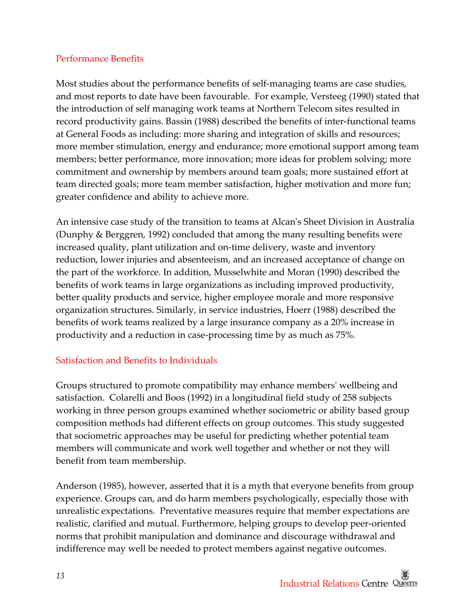#### Performance Benefits

 Most studies about the performance benefits of self‐managing teams are case studies, and most reports to date have been favourable. For example, Versteeg (1990) stated that the introduction of self managing work teams at Northern Telecom sites resulted in record productivity gains. Bassin (1988) described the benefits of inter‐functional teams at General Foods as including: more sharing and integration of skills and resources; more member stimulation, energy and endurance; more emotional support among team members; better performance, more innovation; more ideas for problem solving; more commitment and ownership by members around team goals; more sustained effort at team directed goals; more team member satisfaction, higher motivation and more fun; greater confidence and ability to achieve more.

 An intensive case study of the transition to teams at Alcanʹs Sheet Division in Australia (Dunphy & Berggren, 1992) concluded that among the many resulting benefits were increased quality, plant utilization and on‐time delivery, waste and inventory reduction, lower injuries and absenteeism, and an increased acceptance of change on the part of the workforce. In addition, Musselwhite and Moran (1990) described the benefits of work teams in large organizations as including improved productivity, better quality products and service, higher employee morale and more responsive organization structures. Similarly, in service industries, Hoerr (1988) described the benefits of work teams realized by a large insurance company as a 20% increase in productivity and a reduction in case‐processing time by as much as 75%.

#### Satisfaction and Benefits to Individuals

 Groups structured to promote compatibility may enhance membersʹ wellbeing and satisfaction. Colarelli and Boos (1992) in a longitudinal field study of 258 subjects working in three person groups examined whether sociometric or ability based group composition methods had different effects on group outcomes. This study suggested that sociometric approaches may be useful for predicting whether potential team members will communicate and work well together and whether or not they will benefit from team membership.

 Anderson (1985), however, asserted that it is a myth that everyone benefits from group experience. Groups can, and do harm members psychologically, especially those with unrealistic expectations. Preventative measures require that member expectations are realistic, clarified and mutual. Furthermore, helping groups to develop peer‐oriented norms that prohibit manipulation and dominance and discourage withdrawal and indifference may well be needed to protect members against negative outcomes.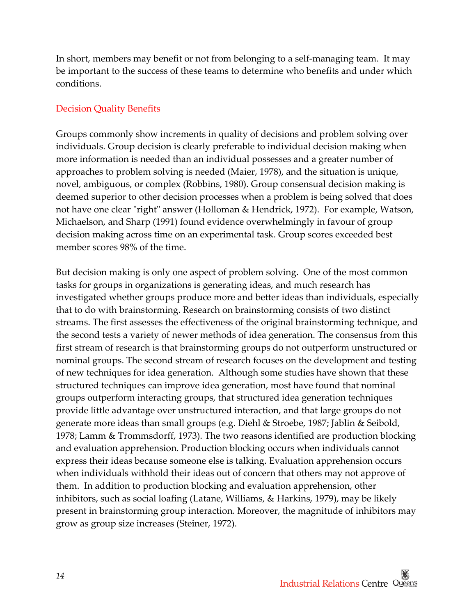In short, members may benefit or not from belonging to a self‐managing team. It may be important to the success of these teams to determine who benefits and under which conditions.

#### Decision Quality Benefits

 Groups commonly show increments in quality of decisions and problem solving over individuals. Group decision is clearly preferable to individual decision making when more information is needed than an individual possesses and a greater number of approaches to problem solving is needed (Maier, 1978), and the situation is unique, novel, ambiguous, or complex (Robbins, 1980). Group consensual decision making is deemed superior to other decision processes when a problem is being solved that does not have one clear "right" answer (Holloman & Hendrick, 1972). For example, Watson, Michaelson, and Sharp (1991) found evidence overwhelmingly in favour of group decision making across time on an experimental task. Group scores exceeded best member scores 98% of the time.

 But decision making is only one aspect of problem solving. One of the most common tasks for groups in organizations is generating ideas, and much research has investigated whether groups produce more and better ideas than individuals, especially that to do with brainstorming. Research on brainstorming consists of two distinct streams. The first assesses the effectiveness of the original brainstorming technique, and the second tests a variety of newer methods of idea generation. The consensus from this first stream of research is that brainstorming groups do not outperform unstructured or nominal groups. The second stream of research focuses on the development and testing of new techniques for idea generation. Although some studies have shown that these structured techniques can improve idea generation, most have found that nominal groups outperform interacting groups, that structured idea generation techniques provide little advantage over unstructured interaction, and that large groups do not generate more ideas than small groups (e.g. Diehl & Stroebe, 1987; Jablin & Seibold, 1978; Lamm & Trommsdorff, 1973). The two reasons identified are production blocking and evaluation apprehension. Production blocking occurs when individuals cannot express their ideas because someone else is talking. Evaluation apprehension occurs when individuals withhold their ideas out of concern that others may not approve of them. In addition to production blocking and evaluation apprehension, other inhibitors, such as social loafing (Latane, Williams, & Harkins, 1979), may be likely present in brainstorming group interaction. Moreover, the magnitude of inhibitors may grow as group size increases (Steiner, 1972).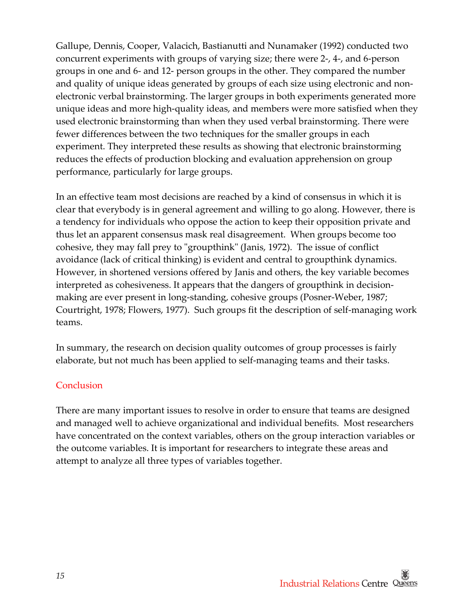Gallupe, Dennis, Cooper, Valacich, Bastianutti and Nunamaker (1992) conducted two concurrent experiments with groups of varying size; there were 2‐, 4‐, and 6‐person groups in one and 6‐ and 12‐ person groups in the other. They compared the number and quality of unique ideas generated by groups of each size using electronic and non‐ electronic verbal brainstorming. The larger groups in both experiments generated more unique ideas and more high‐quality ideas, and members were more satisfied when they used electronic brainstorming than when they used verbal brainstorming. There were fewer differences between the two techniques for the smaller groups in each experiment. They interpreted these results as showing that electronic brainstorming reduces the effects of production blocking and evaluation apprehension on group performance, particularly for large groups.

 In an effective team most decisions are reached by a kind of consensus in which it is clear that everybody is in general agreement and willing to go along. However, there is a tendency for individuals who oppose the action to keep their opposition private and thus let an apparent consensus mask real disagreement. When groups become too cohesive, they may fall prey to "groupthink" (Janis, 1972). The issue of conflict avoidance (lack of critical thinking) is evident and central to groupthink dynamics. However, in shortened versions offered by Janis and others, the key variable becomes interpreted as cohesiveness. It appears that the dangers of groupthink in decision‐ making are ever present in long‐standing, cohesive groups (Posner‐Weber, 1987; Courtright, 1978; Flowers, 1977). Such groups fit the description of self‐managing work teams.

 In summary, the research on decision quality outcomes of group processes is fairly elaborate, but not much has been applied to self‐managing teams and their tasks.

#### Conclusion

 There are many important issues to resolve in order to ensure that teams are designed and managed well to achieve organizational and individual benefits. Most researchers have concentrated on the context variables, others on the group interaction variables or the outcome variables. It is important for researchers to integrate these areas and attempt to analyze all three types of variables together.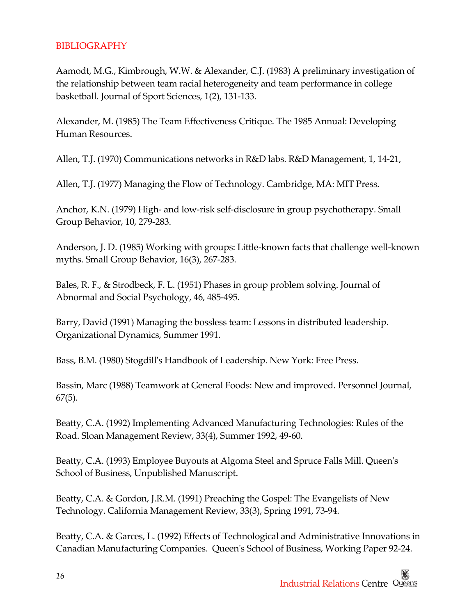#### BIBLIOGRAPHY

 Aamodt, M.G., Kimbrough, W.W. & Alexander, C.J. (1983) A preliminary investigation of the relationship between team racial heterogeneity and team performance in college basketball. Journal of Sport Sciences, 1(2), 131‐133.

 Alexander, M. (1985) The Team Effectiveness Critique. The 1985 Annual: Developing Human Resources.

Allen, T.J. (1970) Communications networks in R&D labs. R&D Management, 1, 14‐21,

Allen, T.J. (1977) Managing the Flow of Technology. Cambridge, MA: MIT Press.

 Anchor, K.N. (1979) High‐ and low‐risk self‐disclosure in group psychotherapy. Small Group Behavior, 10, 279‐283.

 Anderson, J. D. (1985) Working with groups: Little‐known facts that challenge well‐known myths. Small Group Behavior, 16(3), 267‐283.

 Bales, R. F., & Strodbeck, F. L. (1951) Phases in group problem solving. Journal of Abnormal and Social Psychology, 46, 485‐495.

 Barry, David (1991) Managing the bossless team: Lessons in distributed leadership. Organizational Dynamics, Summer 1991.

Bass, B.M. (1980) Stogdillʹs Handbook of Leadership. New York: Free Press.

 Bassin, Marc (1988) Teamwork at General Foods: New and improved. Personnel Journal, 67(5).

 Beatty, C.A. (1992) Implementing Advanced Manufacturing Technologies: Rules of the Road. Sloan Management Review, 33(4), Summer 1992, 49‐60.

 Beatty, C.A. (1993) Employee Buyouts at Algoma Steel and Spruce Falls Mill. Queenʹs School of Business, Unpublished Manuscript.

 Technology. California Management Review, 33(3), Spring 1991, 73‐94. Beatty, C.A. & Gordon, J.R.M. (1991) Preaching the Gospel: The Evangelists of New

 Beatty, C.A. & Garces, L. (1992) Effects of Technological and Administrative Innovations in Canadian Manufacturing Companies. Queenʹs School of Business, Working Paper 92‐24.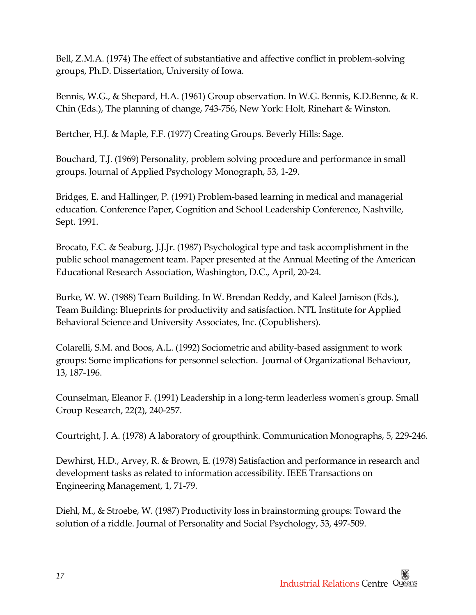Bell, Z.M.A. (1974) The effect of substantiative and affective conflict in problem‐solving groups, Ph.D. Dissertation, University of Iowa.

 Bennis, W.G., & Shepard, H.A. (1961) Group observation. In W.G. Bennis, K.D.Benne, & R. Chin (Eds.), The planning of change, 743‐756, New York: Holt, Rinehart & Winston.

Bertcher, H.J. & Maple, F.F. (1977) Creating Groups. Beverly Hills: Sage.

 Bouchard, T.J. (1969) Personality, problem solving procedure and performance in small groups. Journal of Applied Psychology Monograph, 53, 1‐29.

 Bridges, E. and Hallinger, P. (1991) Problem‐based learning in medical and managerial education. Conference Paper, Cognition and School Leadership Conference, Nashville, Sept. 1991.

 Brocato, F.C. & Seaburg, J.J.Jr. (1987) Psychological type and task accomplishment in the public school management team. Paper presented at the Annual Meeting of the American Educational Research Association, Washington, D.C., April, 20‐24.

 Burke, W. W. (1988) Team Building. In W. Brendan Reddy, and Kaleel Jamison (Eds.), Team Building: Blueprints for productivity and satisfaction. NTL Institute for Applied Behavioral Science and University Associates, Inc. (Copublishers).

 Colarelli, S.M. and Boos, A.L. (1992) Sociometric and ability‐based assignment to work groups: Some implications for personnel selection. Journal of Organizational Behaviour, 13, 187‐196.

 Counselman, Eleanor F. (1991) Leadership in a long‐term leaderless womenʹs group. Small Group Research, 22(2), 240‐257.

Courtright, J. A. (1978) A laboratory of groupthink. Communication Monographs, 5, 229‐246.

 Dewhirst, H.D., Arvey, R. & Brown, E. (1978) Satisfaction and performance in research and development tasks as related to information accessibility. IEEE Transactions on Engineering Management, 1, 71‐79.

 Diehl, M., & Stroebe, W. (1987) Productivity loss in brainstorming groups: Toward the solution of a riddle. Journal of Personality and Social Psychology, 53, 497‐509.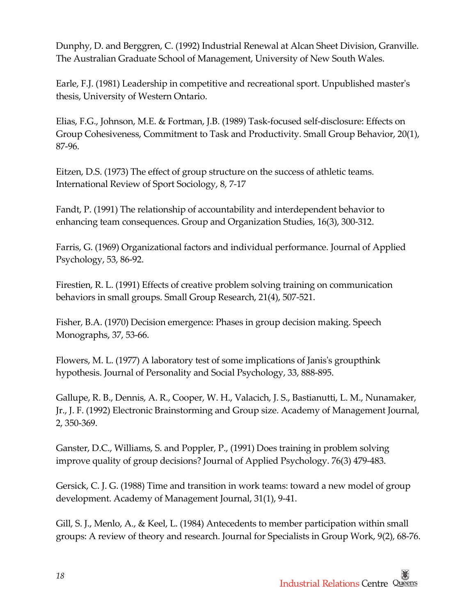Dunphy, D. and Berggren, C. (1992) Industrial Renewal at Alcan Sheet Division, Granville. The Australian Graduate School of Management, University of New South Wales.

 Earle, F.J. (1981) Leadership in competitive and recreational sport. Unpublished masterʹs thesis, University of Western Ontario.

 Elias, F.G., Johnson, M.E. & Fortman, J.B. (1989) Task‐focused self‐disclosure: Effects on Group Cohesiveness, Commitment to Task and Productivity. Small Group Behavior, 20(1), 87‐96.

 Eitzen, D.S. (1973) The effect of group structure on the success of athletic teams. International Review of Sport Sociology, 8, 7‐17

 Fandt, P. (1991) The relationship of accountability and interdependent behavior to enhancing team consequences. Group and Organization Studies, 16(3), 300‐312.

 Farris, G. (1969) Organizational factors and individual performance. Journal of Applied Psychology, 53, 86‐92.

 Firestien, R. L. (1991) Effects of creative problem solving training on communication behaviors in small groups. Small Group Research, 21(4), 507‐521.

 Fisher, B.A. (1970) Decision emergence: Phases in group decision making. Speech Monographs, 37, 53‐66.

 Flowers, M. L. (1977) A laboratory test of some implications of Janisʹs groupthink hypothesis. Journal of Personality and Social Psychology, 33, 888‐895.

 Gallupe, R. B., Dennis, A. R., Cooper, W. H., Valacich, J. S., Bastianutti, L. M., Nunamaker, Jr., J. F. (1992) Electronic Brainstorming and Group size. Academy of Management Journal, 2, 350‐369.

 Ganster, D.C., Williams, S. and Poppler, P., (1991) Does training in problem solving improve quality of group decisions? Journal of Applied Psychology. 76(3) 479‐483.

 Gersick, C. J. G. (1988) Time and transition in work teams: toward a new model of group development. Academy of Management Journal, 31(1), 9‐41.

 Gill, S. J., Menlo, A., & Keel, L. (1984) Antecedents to member participation within small groups: A review of theory and research. Journal for Specialists in Group Work, 9(2), 68‐76.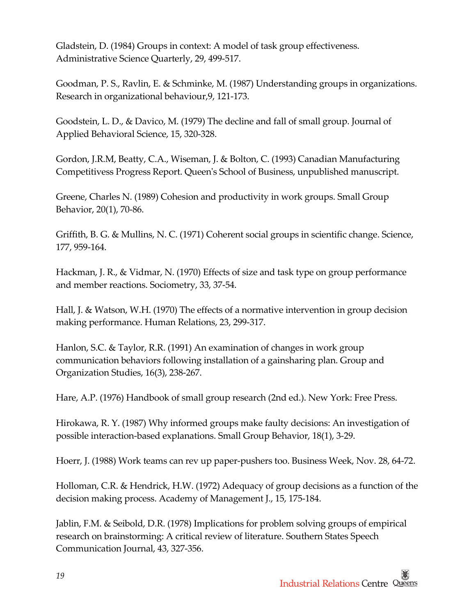Gladstein, D. (1984) Groups in context: A model of task group effectiveness. Administrative Science Quarterly, 29, 499‐517.

 Goodman, P. S., Ravlin, E. & Schminke, M. (1987) Understanding groups in organizations. Research in organizational behaviour,9, 121‐173.

 Goodstein, L. D., & Davico, M. (1979) The decline and fall of small group. Journal of Applied Behavioral Science, 15, 320‐328.

 Gordon, J.R.M, Beatty, C.A., Wiseman, J. & Bolton, C. (1993) Canadian Manufacturing Competitivess Progress Report. Queenʹs School of Business, unpublished manuscript.

 Greene, Charles N. (1989) Cohesion and productivity in work groups. Small Group Behavior, 20(1), 70‐86.

 Griffith, B. G. & Mullins, N. C. (1971) Coherent social groups in scientific change. Science, 177, 959‐164.

 Hackman, J. R., & Vidmar, N. (1970) Effects of size and task type on group performance and member reactions. Sociometry, 33, 37‐54.

 Hall, J. & Watson, W.H. (1970) The effects of a normative intervention in group decision making performance. Human Relations, 23, 299‐317.

 Hanlon, S.C. & Taylor, R.R. (1991) An examination of changes in work group communication behaviors following installation of a gainsharing plan. Group and Organization Studies, 16(3), 238‐267.

Hare, A.P. (1976) Handbook of small group research (2nd ed.). New York: Free Press.

 Hirokawa, R. Y. (1987) Why informed groups make faulty decisions: An investigation of possible interaction‐based explanations. Small Group Behavior, 18(1), 3‐29.

Hoerr, J. (1988) Work teams can rev up paper‐pushers too. Business Week, Nov. 28, 64‐72.

 Holloman, C.R. & Hendrick, H.W. (1972) Adequacy of group decisions as a function of the decision making process. Academy of Management J., 15, 175‐184.

 Jablin, F.M. & Seibold, D.R. (1978) Implications for problem solving groups of empirical research on brainstorming: A critical review of literature. Southern States Speech Communication Journal, 43, 327‐356.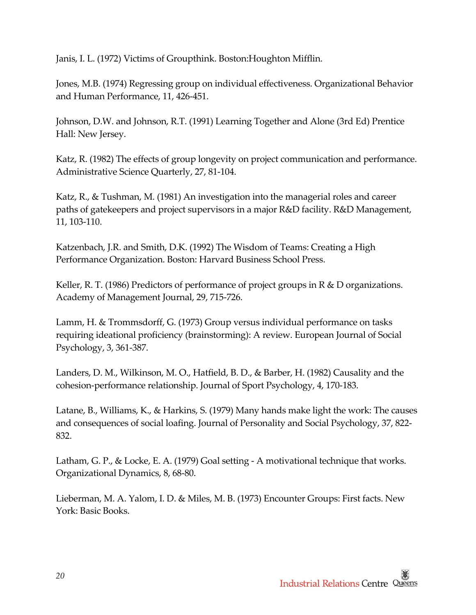Janis, I. L. (1972) Victims of Groupthink. Boston:Houghton Mifflin.

 Jones, M.B. (1974) Regressing group on individual effectiveness. Organizational Behavior and Human Performance, 11, 426‐451.

 Johnson, D.W. and Johnson, R.T. (1991) Learning Together and Alone (3rd Ed) Prentice Hall: New Jersey.

 Katz, R. (1982) The effects of group longevity on project communication and performance. Administrative Science Quarterly, 27, 81‐104.

 Katz, R., & Tushman, M. (1981) An investigation into the managerial roles and career paths of gatekeepers and project supervisors in a major R&D facility. R&D Management, 11, 103‐110.

 Katzenbach, J.R. and Smith, D.K. (1992) The Wisdom of Teams: Creating a High Performance Organization. Boston: Harvard Business School Press.

 Keller, R. T. (1986) Predictors of performance of project groups in R & D organizations. Academy of Management Journal, 29, 715‐726.

 Lamm, H. & Trommsdorff, G. (1973) Group versus individual performance on tasks requiring ideational proficiency (brainstorming): A review. European Journal of Social Psychology, 3, 361‐387.

 Landers, D. M., Wilkinson, M. O., Hatfield, B. D., & Barber, H. (1982) Causality and the cohesion‐performance relationship. Journal of Sport Psychology, 4, 170‐183.

 Latane, B., Williams, K., & Harkins, S. (1979) Many hands make light the work: The causes and consequences of social loafing. Journal of Personality and Social Psychology, 37, 822‐ 832.

 Latham, G. P., & Locke, E. A. (1979) Goal setting ‐ A motivational technique that works. Organizational Dynamics, 8, 68‐80.

 Lieberman, M. A. Yalom, I. D. & Miles, M. B. (1973) Encounter Groups: First facts. New York: Basic Books.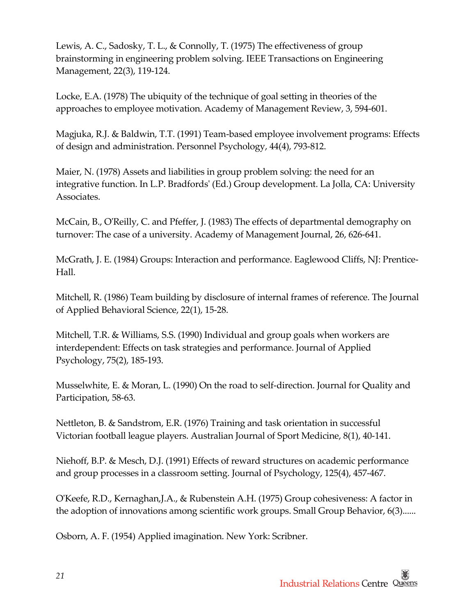Lewis, A. C., Sadosky, T. L., & Connolly, T. (1975) The effectiveness of group brainstorming in engineering problem solving. IEEE Transactions on Engineering Management, 22(3), 119‐124.

 Locke, E.A. (1978) The ubiquity of the technique of goal setting in theories of the approaches to employee motivation. Academy of Management Review, 3, 594‐601.

 Magjuka, R.J. & Baldwin, T.T. (1991) Team‐based employee involvement programs: Effects of design and administration. Personnel Psychology, 44(4), 793‐812.

 Maier, N. (1978) Assets and liabilities in group problem solving: the need for an integrative function. In L.P. Bradfordsʹ (Ed.) Group development. La Jolla, CA: University Associates.

 McCain, B., OʹReilly, C. and Pfeffer, J. (1983) The effects of departmental demography on turnover: The case of a university. Academy of Management Journal, 26, 626‐641.

 McGrath, J. E. (1984) Groups: Interaction and performance. Eaglewood Cliffs, NJ: Prentice‐ Hall.

 Mitchell, R. (1986) Team building by disclosure of internal frames of reference. The Journal of Applied Behavioral Science, 22(1), 15‐28.

 Mitchell, T.R. & Williams, S.S. (1990) Individual and group goals when workers are interdependent: Effects on task strategies and performance. Journal of Applied Psychology, 75(2), 185‐193.

 Musselwhite, E. & Moran, L. (1990) On the road to self‐direction. Journal for Quality and Participation, 58‐63.

 Nettleton, B. & Sandstrom, E.R. (1976) Training and task orientation in successful Victorian football league players. Australian Journal of Sport Medicine, 8(1), 40‐141.

 Niehoff, B.P. & Mesch, D.J. (1991) Effects of reward structures on academic performance and group processes in a classroom setting. Journal of Psychology, 125(4), 457‐467.

 OʹKeefe, R.D., Kernaghan,J.A., & Rubenstein A.H. (1975) Group cohesiveness: A factor in the adoption of innovations among scientific work groups. Small Group Behavior, 6(3)......

Osborn, A. F. (1954) Applied imagination. New York: Scribner.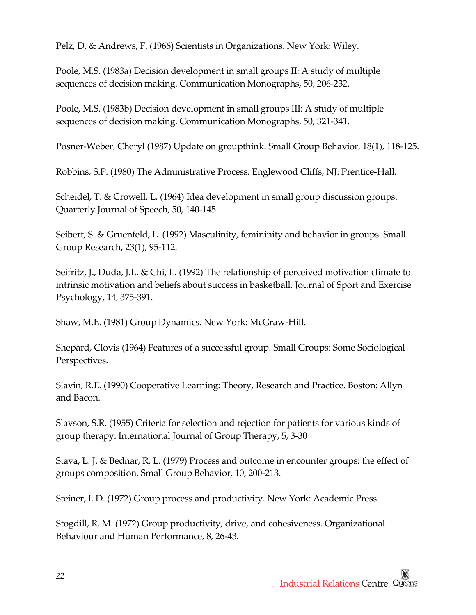Pelz, D. & Andrews, F. (1966) Scientists in Organizations. New York: Wiley.

 Poole, M.S. (1983a) Decision development in small groups II: A study of multiple sequences of decision making. Communication Monographs, 50, 206‐232.

 Poole, M.S. (1983b) Decision development in small groups III: A study of multiple sequences of decision making. Communication Monographs, 50, 321‐341.

Posner‐Weber, Cheryl (1987) Update on groupthink. Small Group Behavior, 18(1), 118‐125.

Robbins, S.P. (1980) The Administrative Process. Englewood Cliffs, NJ: Prentice‐Hall.

 Scheidel, T. & Crowell, L. (1964) Idea development in small group discussion groups. Quarterly Journal of Speech, 50, 140‐145.

 Seibert, S. & Gruenfeld, L. (1992) Masculinity, femininity and behavior in groups. Small Group Research, 23(1), 95‐112.

 Seifritz, J., Duda, J.L. & Chi, L. (1992) The relationship of perceived motivation climate to intrinsic motivation and beliefs about success in basketball. Journal of Sport and Exercise Psychology, 14, 375‐391.

Shaw, M.E. (1981) Group Dynamics. New York: McGraw‐Hill.

 Shepard, Clovis (1964) Features of a successful group. Small Groups: Some Sociological Perspectives.

 Slavin, R.E. (1990) Cooperative Learning: Theory, Research and Practice. Boston: Allyn and Bacon.

 Slavson, S.R. (1955) Criteria for selection and rejection for patients for various kinds of group therapy. International Journal of Group Therapy, 5, 3‐30

 Stava, L. J. & Bednar, R. L. (1979) Process and outcome in encounter groups: the effect of groups composition. Small Group Behavior, 10, 200‐213.

Steiner, I. D. (1972) Group process and productivity. New York: Academic Press.

 Stogdill, R. M. (1972) Group productivity, drive, and cohesiveness. Organizational Behaviour and Human Performance, 8, 26‐43.